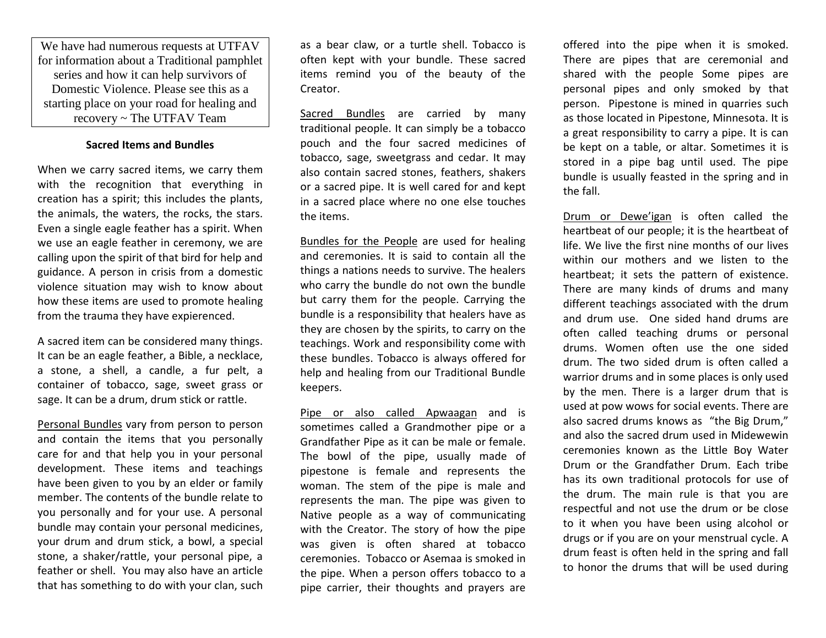We have had numerous requests at UTFAV for information about a Traditional pamphlet series and how it can help survivors of Domestic Violence. Please see this as a starting place on your road for healing and recovery ~ The UTFAV Team

## **Sacred Items and Bundles**

When we carry sacred items, we carry them with the recognition that everything in creation has a spirit; this includes the plants, the animals, the waters, the rocks, the stars. Even a single eagle feather has a spirit. When we use an eagle feather in ceremony, we are calling upon the spirit of that bird for help and guidance. A person in crisis from a domestic violence situation may wish to know about how these items are used to promote healing from the trauma they have expierenced.

A sacred item can be considered many things. It can be an eagle feather, a Bible, a necklace, a stone, a shell, a candle, a fur pelt, a container of tobacco, sage, sweet grass or sage. It can be a drum, drum stick or rattle.

Personal Bundles vary from person to person and contain the items that you personally care for and that help you in your personal development. These items and teachings have been given to you by an elder or family member. The contents of the bundle relate to you personally and for your use. A personal bundle may contain your personal medicines, your drum and drum stick, a bowl, a special stone, a shaker/rattle, your personal pipe, a feather or shell. You may also have an article that has something to do with your clan, such

as a bear claw, or a turtle shell. Tobacco is often kept with your bundle. These sacred items remind you of the beauty of the Creator.

Sacred Bundles are carried by many traditional people. It can simply be a tobacco pouch and the four sacred medicines of tobacco, sage, sweetgrass and cedar. It may also contain sacred stones, feathers, shakers or a sacred pipe. It is well cared for and kept in a sacred place where no one else touches the items.

Bundles for the People are used for healing and ceremonies. It is said to contain all the things a nations needs to survive. The healers who carry the bundle do not own the bundle but carry them for the people. Carrying the bundle is a responsibility that healers have as they are chosen by the spirits, to carry on the teachings. Work and responsibility come with these bundles. Tobacco is always offered for help and healing from our Traditional Bundle keepers.

Pipe or also called Apwaagan and is sometimes called a Grandmother pipe or a Grandfather Pipe as it can be male or female. The bowl of the pipe, usually made of pipestone is female and represents the woman. The stem of the pipe is male and represents the man. The pipe was given to Native people as a way of communicating with the Creator. The story of how the pipe was given is often shared at tobacco ceremonies. Tobacco or Asemaa is smoked in the pipe. When a person offers tobacco to a pipe carrier, their thoughts and prayers are

offered into the pipe when it is smoked. There are pipes that are ceremonial and shared with the people Some pipes are personal pipes and only smoked by that person. Pipestone is mined in quarries such as those located in Pipestone, Minnesota. It is a great responsibility to carry a pipe. It is can be kept on a table, or altar. Sometimes it is stored in a pipe bag until used. The pipe bundle is usually feasted in the spring and in the fall.

Drum or Dewe'igan is often called the heartbeat of our people; it is the heartbeat of life. We live the first nine months of our lives within our mothers and we listen to the heartbeat; it sets the pattern of existence. There are many kinds of drums and many different teachings associated with the drum and drum use. One sided hand drums are often called teaching drums or personal drums. Women often use the one sided drum. The two sided drum is often called a warrior drums and in some places is only used by the men. There is a larger drum that is used at pow wows for social events. There are also sacred drums knows as "the Big Drum," and also the sacred drum used in Midewewin ceremonies known as the Little Boy Water Drum or the Grandfather Drum. Each tribe has its own traditional protocols for use of the drum. The main rule is that you are respectful and not use the drum or be close to it when you have been using alcohol or drugs or if you are on your menstrual cycle. A drum feast is often held in the spring and fall to honor the drums that will be used during